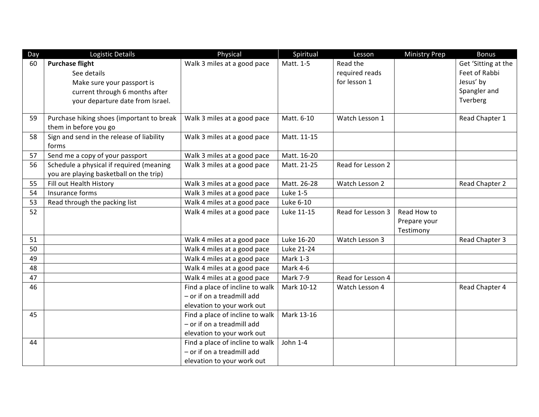| Day | Logistic Details                                                   | Physical                        | Spiritual       | Lesson            | <b>Ministry Prep</b> | <b>Bonus</b>        |
|-----|--------------------------------------------------------------------|---------------------------------|-----------------|-------------------|----------------------|---------------------|
| 60  | <b>Purchase flight</b>                                             | Walk 3 miles at a good pace     | Matt. 1-5       | Read the          |                      | Get 'Sitting at the |
|     | See details                                                        |                                 |                 | required reads    |                      | Feet of Rabbi       |
|     | Make sure your passport is                                         |                                 |                 | for lesson 1      |                      | Jesus' by           |
|     | current through 6 months after                                     |                                 |                 |                   |                      | Spangler and        |
|     | your departure date from Israel.                                   |                                 |                 |                   |                      | Tverberg            |
|     |                                                                    |                                 |                 |                   |                      |                     |
| 59  | Purchase hiking shoes (important to break                          | Walk 3 miles at a good pace     | Matt. 6-10      | Watch Lesson 1    |                      | Read Chapter 1      |
| 58  | them in before you go<br>Sign and send in the release of liability |                                 | Matt. 11-15     |                   |                      |                     |
|     | forms                                                              | Walk 3 miles at a good pace     |                 |                   |                      |                     |
| 57  | Send me a copy of your passport                                    | Walk 3 miles at a good pace     | Matt. 16-20     |                   |                      |                     |
| 56  | Schedule a physical if required (meaning                           | Walk 3 miles at a good pace     | Matt. 21-25     | Read for Lesson 2 |                      |                     |
|     | you are playing basketball on the trip)                            |                                 |                 |                   |                      |                     |
| 55  | Fill out Health History                                            | Walk 3 miles at a good pace     | Matt. 26-28     | Watch Lesson 2    |                      | Read Chapter 2      |
| 54  | Insurance forms                                                    | Walk 3 miles at a good pace     | <b>Luke 1-5</b> |                   |                      |                     |
| 53  | Read through the packing list                                      | Walk 4 miles at a good pace     | Luke 6-10       |                   |                      |                     |
| 52  |                                                                    | Walk 4 miles at a good pace     | Luke 11-15      | Read for Lesson 3 | Read How to          |                     |
|     |                                                                    |                                 |                 |                   | Prepare your         |                     |
|     |                                                                    |                                 |                 |                   | Testimony            |                     |
| 51  |                                                                    | Walk 4 miles at a good pace     | Luke 16-20      | Watch Lesson 3    |                      | Read Chapter 3      |
| 50  |                                                                    | Walk 4 miles at a good pace     | Luke 21-24      |                   |                      |                     |
| 49  |                                                                    | Walk 4 miles at a good pace     | Mark 1-3        |                   |                      |                     |
| 48  |                                                                    | Walk 4 miles at a good pace     | Mark 4-6        |                   |                      |                     |
| 47  |                                                                    | Walk 4 miles at a good pace     | Mark 7-9        | Read for Lesson 4 |                      |                     |
| 46  |                                                                    | Find a place of incline to walk | Mark 10-12      | Watch Lesson 4    |                      | Read Chapter 4      |
|     |                                                                    | - or if on a treadmill add      |                 |                   |                      |                     |
|     |                                                                    | elevation to your work out      |                 |                   |                      |                     |
| 45  |                                                                    | Find a place of incline to walk | Mark 13-16      |                   |                      |                     |
|     |                                                                    | - or if on a treadmill add      |                 |                   |                      |                     |
|     |                                                                    | elevation to your work out      |                 |                   |                      |                     |
| 44  |                                                                    | Find a place of incline to walk | John 1-4        |                   |                      |                     |
|     |                                                                    | - or if on a treadmill add      |                 |                   |                      |                     |
|     |                                                                    | elevation to your work out      |                 |                   |                      |                     |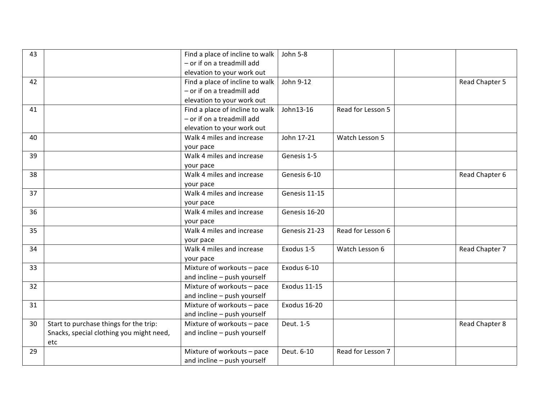| 43 |                                          | Find a place of incline to walk | John 5-8            |                   |                |
|----|------------------------------------------|---------------------------------|---------------------|-------------------|----------------|
|    |                                          | - or if on a treadmill add      |                     |                   |                |
|    |                                          | elevation to your work out      |                     |                   |                |
| 42 |                                          | Find a place of incline to walk | John 9-12           |                   | Read Chapter 5 |
|    |                                          | - or if on a treadmill add      |                     |                   |                |
|    |                                          | elevation to your work out      |                     |                   |                |
| 41 |                                          | Find a place of incline to walk | John13-16           | Read for Lesson 5 |                |
|    |                                          | - or if on a treadmill add      |                     |                   |                |
|    |                                          | elevation to your work out      |                     |                   |                |
| 40 |                                          | Walk 4 miles and increase       | John 17-21          | Watch Lesson 5    |                |
|    |                                          | your pace                       |                     |                   |                |
| 39 |                                          | Walk 4 miles and increase       | Genesis 1-5         |                   |                |
|    |                                          | your pace                       |                     |                   |                |
| 38 |                                          | Walk 4 miles and increase       | Genesis 6-10        |                   | Read Chapter 6 |
|    |                                          | your pace                       |                     |                   |                |
| 37 |                                          | Walk 4 miles and increase       | Genesis 11-15       |                   |                |
|    |                                          | your pace                       |                     |                   |                |
| 36 |                                          | Walk 4 miles and increase       | Genesis 16-20       |                   |                |
|    |                                          | your pace                       |                     |                   |                |
| 35 |                                          | Walk 4 miles and increase       | Genesis 21-23       | Read for Lesson 6 |                |
|    |                                          | your pace                       |                     |                   |                |
| 34 |                                          | Walk 4 miles and increase       | Exodus 1-5          | Watch Lesson 6    | Read Chapter 7 |
|    |                                          | your pace                       |                     |                   |                |
| 33 |                                          | Mixture of workouts - pace      | Exodus 6-10         |                   |                |
|    |                                          | and incline - push yourself     |                     |                   |                |
| 32 |                                          | Mixture of workouts - pace      | <b>Exodus 11-15</b> |                   |                |
|    |                                          | and incline - push yourself     |                     |                   |                |
| 31 |                                          | Mixture of workouts - pace      | Exodus 16-20        |                   |                |
|    |                                          | and incline - push yourself     |                     |                   |                |
| 30 | Start to purchase things for the trip:   | Mixture of workouts - pace      | Deut. 1-5           |                   | Read Chapter 8 |
|    | Snacks, special clothing you might need, | and incline - push yourself     |                     |                   |                |
|    | etc                                      |                                 |                     |                   |                |
| 29 |                                          | Mixture of workouts - pace      | Deut. 6-10          | Read for Lesson 7 |                |
|    |                                          | and incline - push yourself     |                     |                   |                |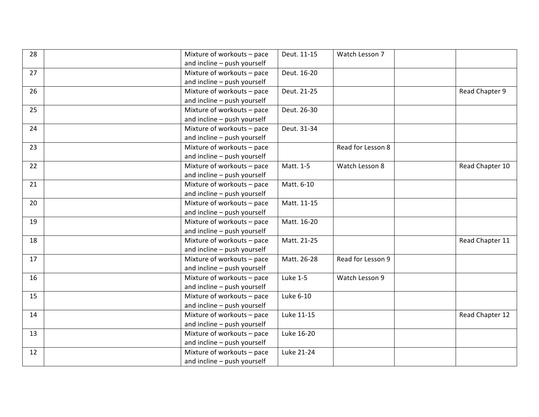| 28 | Mixture of workouts - pace  | Deut. 11-15     | Watch Lesson 7    |                 |
|----|-----------------------------|-----------------|-------------------|-----------------|
|    | and incline - push yourself |                 |                   |                 |
| 27 | Mixture of workouts - pace  | Deut. 16-20     |                   |                 |
|    | and incline - push yourself |                 |                   |                 |
| 26 | Mixture of workouts - pace  | Deut. 21-25     |                   | Read Chapter 9  |
|    | and incline - push yourself |                 |                   |                 |
| 25 | Mixture of workouts - pace  | Deut. 26-30     |                   |                 |
|    | and incline - push yourself |                 |                   |                 |
| 24 | Mixture of workouts - pace  | Deut. 31-34     |                   |                 |
|    | and incline - push yourself |                 |                   |                 |
| 23 | Mixture of workouts - pace  |                 | Read for Lesson 8 |                 |
|    | and incline - push yourself |                 |                   |                 |
| 22 | Mixture of workouts - pace  | Matt. 1-5       | Watch Lesson 8    | Read Chapter 10 |
|    | and incline - push yourself |                 |                   |                 |
| 21 | Mixture of workouts - pace  | Matt. 6-10      |                   |                 |
|    | and incline - push yourself |                 |                   |                 |
| 20 | Mixture of workouts - pace  | Matt. 11-15     |                   |                 |
|    | and incline - push yourself |                 |                   |                 |
| 19 | Mixture of workouts - pace  | Matt. 16-20     |                   |                 |
|    | and incline - push yourself |                 |                   |                 |
| 18 | Mixture of workouts - pace  | Matt. 21-25     |                   | Read Chapter 11 |
|    | and incline - push yourself |                 |                   |                 |
| 17 | Mixture of workouts - pace  | Matt. 26-28     | Read for Lesson 9 |                 |
|    | and incline - push yourself |                 |                   |                 |
| 16 | Mixture of workouts - pace  | <b>Luke 1-5</b> | Watch Lesson 9    |                 |
|    | and incline - push yourself |                 |                   |                 |
| 15 | Mixture of workouts - pace  | Luke 6-10       |                   |                 |
|    | and incline - push yourself |                 |                   |                 |
| 14 | Mixture of workouts - pace  | Luke 11-15      |                   | Read Chapter 12 |
|    | and incline - push yourself |                 |                   |                 |
| 13 | Mixture of workouts - pace  | Luke 16-20      |                   |                 |
|    | and incline - push yourself |                 |                   |                 |
| 12 | Mixture of workouts - pace  | Luke 21-24      |                   |                 |
|    | and incline - push yourself |                 |                   |                 |